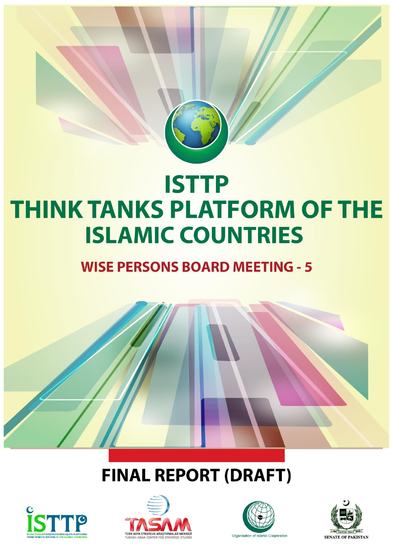

# **ISTTP THINK TANKS PLATFORM OF THE ISLAMIC COUNTRIES**

### **WISE PERSONS BOARD MEETING - 5**

# **FINAL REPORT (DRAFT)**







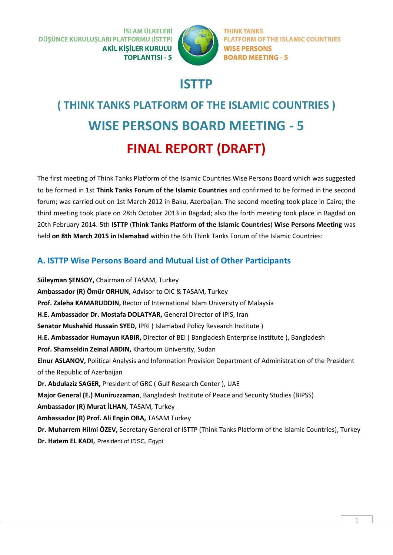**İSLAM ÜLKELERİ** DÜŞÜNCE KURULUŞLARI PLATFORMU (İSTTP) **AKİL KİSİLER KURULU TOPLANTISI - 5** 



**THINK TANKS PLATFORM OF THE ISLAMIC COUNTRIES WISE PERSONS BOARD MEETING - 5** 

### **ISTTP**

## **( THINK TANKS PLATFORM OF THE ISLAMIC COUNTRIES ) WISE PERSONS BOARD MEETING - 5 FINAL REPORT (DRAFT)**

The first meeting of Think Tanks Platform of the Islamic Countries Wise Persons Board which was suggested to be formed in 1st **Think Tanks Forum of the Islamic Countries** and confirmed to be formed in the second forum; was carried out on 1st March 2012 in Baku, Azerbaijan. The second meeting took place in Cairo; the third meeting took place on 28th October 2013 in Bagdad; also the forth meeting took place in Bagdad on 20th February 2014. 5th **ISTTP** (**Think Tanks Platform of the Islamic Countries**) **Wise Persons Meeting** was held **on 8th March 2015 in Islamabad** within the 6th Think Tanks Forum of the Islamic Countries:

### **A. ISTTP Wise Persons Board and Mutual List of Other Participants**

**Süleyman ŞENSOY,** Chairman of TASAM, Turkey **Ambassador (R) Ömür ORHUN,** Advisor to OIC & TASAM, Turkey **Prof. Zaleha KAMARUDDIN,** Rector of International Islam University of Malaysia **H.E. Ambassador Dr. Mostafa DOLATYAR,** General Director of IPIS, Iran **Senator Mushahid Hussain SYED,** IPRI ( Islamabad Policy Research Institute ) **H.E. Ambassador Humayun KABIR,** Director of BEI ( Bangladesh Enterprise Institute ), Bangladesh **Prof. Shamseldin Zeinal ABDIN,** Khartoum University, Sudan **Elnur ASLANOV,** Political Analysis and Information Provision Department of Administration of the President of the Republic of Azerbaijan **Dr. Abdulaziz SAGER,** President of GRC ( Gulf Research Center ), UAE **Major General (E.) Muniruzzaman**, Bangladesh Institute of Peace and Security Studies (BIPSS) **Ambassador (R) Murat İLHAN,** TASAM, Turkey **Ambassador (R) Prof. Ali Engin OBA,** TASAM Turkey **Dr. Muharrem Hilmi ÖZEV,** Secretary General of ISTTP (Think Tanks Platform of the Islamic Countries), Turkey **Dr. Hatem EL KADI,** President of IDSC, Egypt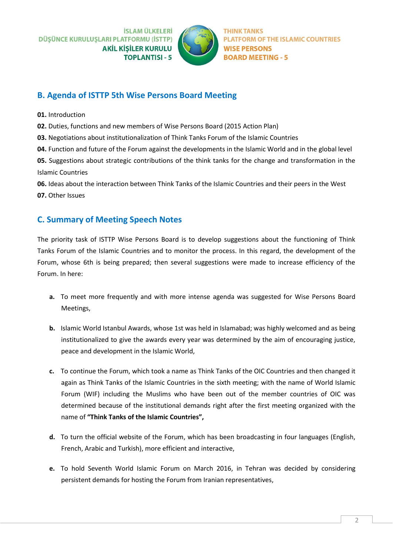**İSLAM ÜLKELERİ** DÜŞÜNCE KURULUŞLARI PLATFORMU (İSTTP) **AKİL KİSİLER KURULU TOPLANTISI - 5** 



**PLATFORM OF THE ISLAMIC COUNTRIES WISE PERSONS BOARD MEETING - 5** 

#### **B. Agenda of ISTTP 5th Wise Persons Board Meeting**

- **01.** Introduction
- **02.** Duties, functions and new members of Wise Persons Board (2015 Action Plan)
- **03.** Negotiations about institutionalization of Think Tanks Forum of the Islamic Countries
- **04.** Function and future of the Forum against the developments in the Islamic World and in the global level

**05.** Suggestions about strategic contributions of the think tanks for the change and transformation in the Islamic Countries

**06.** Ideas about the interaction between Think Tanks of the Islamic Countries and their peers in the West **07.** Other Issues

#### **C. Summary of Meeting Speech Notes**

The priority task of ISTTP Wise Persons Board is to develop suggestions about the functioning of Think Tanks Forum of the Islamic Countries and to monitor the process. In this regard, the development of the Forum, whose 6th is being prepared; then several suggestions were made to increase efficiency of the Forum. In here:

- **a.** To meet more frequently and with more intense agenda was suggested for Wise Persons Board Meetings,
- **b.** Islamic World Istanbul Awards, whose 1st was held in Islamabad; was highly welcomed and as being institutionalized to give the awards every year was determined by the aim of encouraging justice, peace and development in the Islamic World,
- **c.** To continue the Forum, which took a name as Think Tanks of the OIC Countries and then changed it again as Think Tanks of the Islamic Countries in the sixth meeting; with the name of World Islamic Forum (WIF) including the Muslims who have been out of the member countries of OIC was determined because of the institutional demands right after the first meeting organized with the name of **"Think Tanks of the Islamic Countries",**
- **d.** To turn the official website of the Forum, which has been broadcasting in four languages (English, French, Arabic and Turkish), more efficient and interactive,
- **e.** To hold Seventh World Islamic Forum on March 2016, in Tehran was decided by considering persistent demands for hosting the Forum from Iranian representatives,